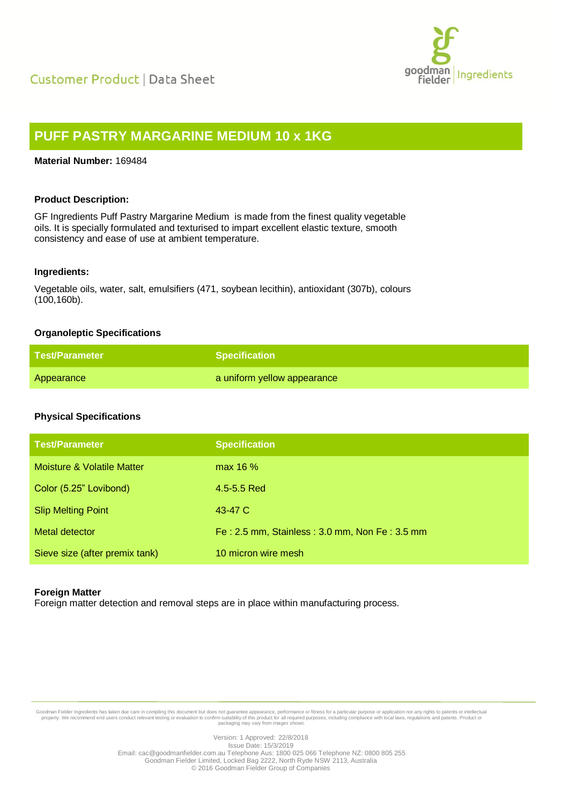

# **PUFF PASTRY MARGARINE MEDIUM 10 x 1KG**

## **Material Number:** 169484

## **Product Description:**

GF Ingredients Puff Pastry Margarine Medium is made from the finest quality vegetable oils. It is specially formulated and texturised to impart excellent elastic texture, smooth consistency and ease of use at ambient temperature.

### **Ingredients:**

Vegetable oils, water, salt, emulsifiers (471, soybean lecithin), antioxidant (307b), colours (100,160b).

## **Organoleptic Specifications**

| <b>Test/Parameter</b> | <b>Specification</b>        |
|-----------------------|-----------------------------|
| Appearance            | a uniform yellow appearance |

# **Physical Specifications**

| <b>Test/Parameter</b>          | <b>Specification</b>                          |
|--------------------------------|-----------------------------------------------|
| Moisture & Volatile Matter     | max 16 %                                      |
| Color (5.25" Lovibond)         | 4.5-5.5 Red                                   |
| <b>Slip Melting Point</b>      | 43-47 C                                       |
| Metal detector                 | Fe: 2.5 mm, Stainless: 3.0 mm, Non Fe: 3.5 mm |
| Sieve size (after premix tank) | 10 micron wire mesh                           |

### **Foreign Matter**

Foreign matter detection and removal steps are in place within manufacturing process.

Goodman Fielder Ingredients has taken due care in compiling this document but does not guarantee appearance, performance or fitness for a particular purpose or application nor any rights to patents or intellectual property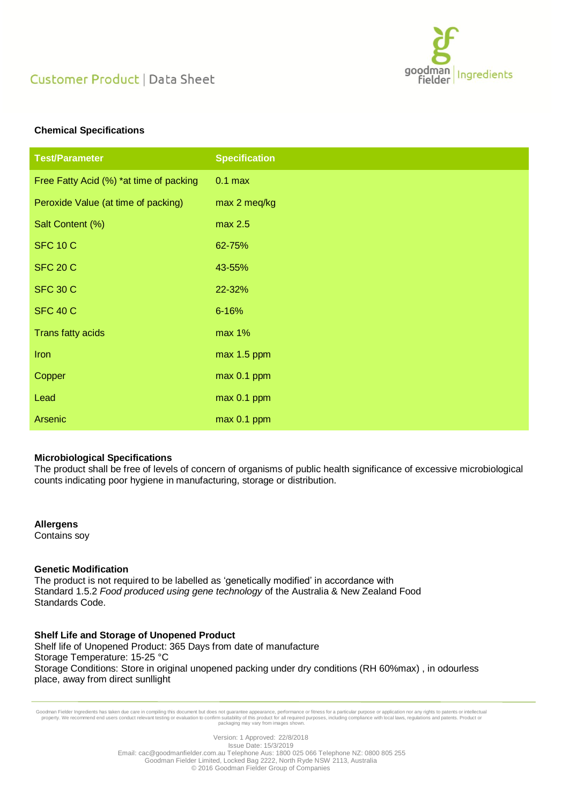

# Customer Product | Data Sheet

# **Chemical Specifications**

| <b>Test/Parameter</b>                   | <b>Specification</b> |
|-----------------------------------------|----------------------|
| Free Fatty Acid (%) *at time of packing | $0.1$ max            |
| Peroxide Value (at time of packing)     | max 2 meq/kg         |
| Salt Content (%)                        | max 2.5              |
| <b>SFC 10 C</b>                         | 62-75%               |
| <b>SFC 20 C</b>                         | 43-55%               |
| <b>SFC 30 C</b>                         | 22-32%               |
| <b>SFC 40 C</b>                         | $6 - 16%$            |
| Trans fatty acids                       | max 1%               |
| Iron                                    | max 1.5 ppm          |
| Copper                                  | max 0.1 ppm          |
| Lead                                    | max 0.1 ppm          |
| <b>Arsenic</b>                          | max 0.1 ppm          |

### **Microbiological Specifications**

The product shall be free of levels of concern of organisms of public health significance of excessive microbiological counts indicating poor hygiene in manufacturing, storage or distribution.

**Allergens**

Contains soy

## **Genetic Modification**

The product is not required to be labelled as 'genetically modified' in accordance with Standard 1.5.2 *Food produced using gene technology* of the Australia & New Zealand Food Standards Code.

### **Shelf Life and Storage of Unopened Product**

Shelf life of Unopened Product: 365 Days from date of manufacture Storage Temperature: 15-25 °C Storage Conditions: Store in original unopened packing under dry conditions (RH 60%max) , in odourless place, away from direct sunllight

Goodman Fielder Ingredients has taken due care in compiling this document but does not guarantee appearance, performance or fitness for a particular purpose or application nor any rights to patents or intellectual property